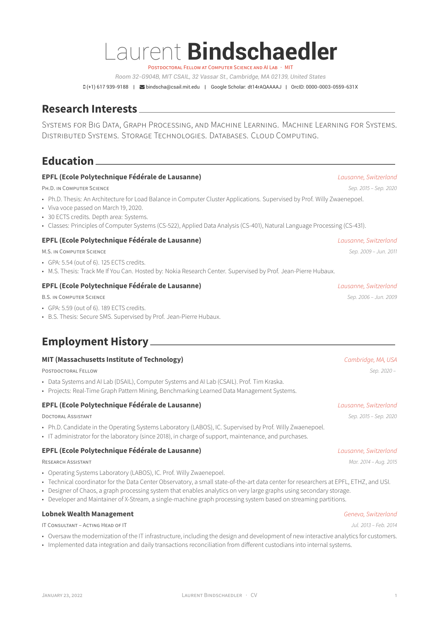# Laurent **Bindschaedler**

POSTDOCTORAL FELLOW AT COMPUTER SCIENCE AND ALLAB · MIT

*Room 32-G904B, MIT CSAIL, 32 Vassar St., Cambridge, MA 02139, United States*

(+1) 617 939-9188 | [bindscha@csail.mit.edu](mailto:bindscha@csail.mit.edu) | Google Scholar: [dt14rAQAAAAJ](https://scholar.google.com/citations?user=dt14rAQAAAAJ&hl=en&oi=ao) | OrcID: [0000-0003-0559-631X](https://orcid.org/0000-0003-0559-631X)

# **Research Interests**

SYSTEMS FOR BIG DATA, GRAPH PROCESSING, AND MACHINE LEARNING. MACHINE LEARNING FOR SYSTEMS. DISTRIBUTED SYSTEMS. STORAGE TECHNOLOGIES. DATABASES. CLOUD COMPUTING.

**Education**

### **EPFL (Ecole Polytechnique Fédérale de Lausanne)** *Lausanne, Switzerland*

PH.D. IN COMPUTER SCIENCE *Sep. 2015 – Sep. 2020*

- Ph.D. Thesis: An Architecture for Load Balance in Computer Cluster Applications. Supervised by Prof. Willy Zwaenepoel.
- Viva voce passed on March 19, 2020.
- 30 ECTS credits. Depth area: Systems.
- Classes: Principles of Computer Systems (CS-522), Applied Data Analysis (CS-401), Natural Language Processing (CS-431).

### **EPFL (Ecole Polytechnique Fédérale de Lausanne)** *Lausanne, Switzerland*

M.S. IN COMPUTER SCIENCE *Sep. 2009 – Jun. 2011*

- GPA: 5.54 (out of 6). 125 ECTS credits.
- M.S. Thesis: Track Me If You Can. Hosted by: Nokia Research Center. Supervised by Prof. Jean-Pierre Hubaux.

### **EPFL (Ecole Polytechnique Fédérale de Lausanne)** *Lausanne, Switzerland*

B.S. IN COMPUTER SCIENCE *Sep. 2006 – Jun. 2009*

- GPA: 5.59 (out of 6). 189 ECTS credits.
- B.S. Thesis: Secure SMS. Supervised by Prof. Jean-Pierre Hubaux.

# **Employment History**

### **MIT (Massachusetts Institute of Technology)** *Cambridge, MA, USA*

POSTDOCTORAL FELLOW *Sep. 2020 –*

- Data Systems and AI Lab (DSAIL), Computer Systems and AI Lab (CSAIL). Prof. Tim Kraska.
- Projects: Real-Time Graph Pattern Mining, Benchmarking Learned Data Management Systems.

### **EPFL (Ecole Polytechnique Fédérale de Lausanne)** *Lausanne, Switzerland*

DOCTORAL ASSISTANT *Sep. 2015 – Sep. 2020*

- Ph.D. Candidate in the Operating Systems Laboratory (LABOS), IC. Supervised by Prof. Willy Zwaenepoel.
- IT administrator for the laboratory (since 2018), in charge of support, maintenance, and purchases.

### **EPFL (Ecole Polytechnique Fédérale de Lausanne)** *Lausanne, Switzerland*

RESEARCH ASSISTANT *Mar. 2014 – Aug. 2015*

- Operating Systems Laboratory (LABOS), IC. Prof. Willy Zwaenepoel.
- Technical coordinator for the [Data Center Observatory](https://wiki.dco.ethz.ch), a small state-of-the-art data center for researchers at EPFL, ETHZ, and USI.
- Designer of Chaos, a graph processing system that enables analytics on very large graphs using secondary storage.
- Developer and Maintainer of X-Stream, a single-machine graph processing system based on streaming partitions.

### **Lobnek Wealth Management** *Geneva, Switzerland*

IT CONSULTANT – ACTING HEAD OF IT *Jul. 2013 – Feb. 2014*

- Oversaw the modernization of the IT infrastructure, including the design and development of new interactive analytics for customers.
- Implemented data integration and daily transactions reconciliation from different custodians into internal systems.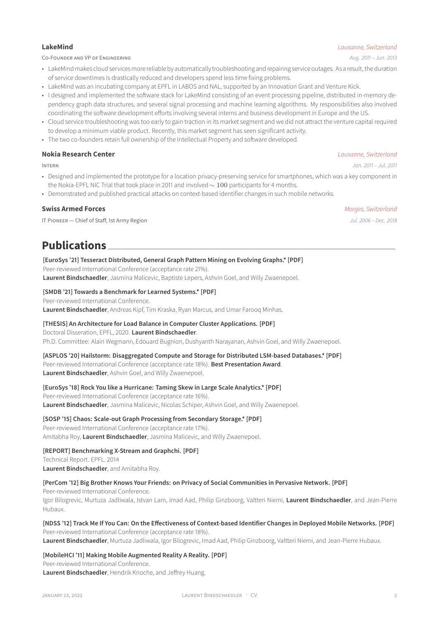### CO-FOUNDER AND VP OF ENGINEERING *Aug. 2011 – Jun. 2013*

- LakeMind makes cloud services more reliable by automatically troubleshooting and repairing service outages. As a result, the duration of service downtimes is drastically reduced and developers spend less time fixing problems.
- LakeMind was an incubating company at EPFL in LABOS and NAL, supported by an Innovation Grant and Venture Kick.
- I designed and implemented the software stack for LakeMind consisting of an event processing pipeline, distributed in-memory dependency graph data structures, and several signal processing and machine learning algorithms. My responsibilities also involved coordinating the software development efforts involving several interns and business development in Europe and the US.
- Cloud service troubleshooting was too early to gain traction in its market segment and we did not attract the venture capital required to develop a minimum viable product. Recently, this market segment has seen significant activity.
- The two co-founders retain full ownership of the Intellectual Property and software developed.

### **Nokia Research Center** *Lausanne, Switzerland*

INTERN *Jan. 2011 – Jul. 2011*

- Designed and implemented the prototype for a location privacy-preserving service for smartphones, which was a key component in the [Nokia-EPFL NIC Trial](https://web.archive.org/web/20120311081943/https://lausanne.nokiaresearch.com/nic/) that took place in 2011 and involved ∼ 100 participants for 4 months.
- Demonstrated and published practical attacks on context-based identifier changes in such mobile networks.

### **Swiss Armed Forces** *Morges, Switzerland*

IT PIONEER — Chief of Staff, 1st Army Region *Jul. 2006 – Dec. 2018*

# **Publications**

### **[EuroSys '21] Tesseract Distributed, General Graph Pattern Mining on Evolving Graphs.\* [\[PDF\]](https://binds.ch/wp-content/uploads/2021/04/tesseract2021.pdf)**

Peer-reviewed International Conference (acceptance rate 21%). **Laurent Bindschaedler**, Jasmina Malicevic, Baptiste Lepers, Ashvin Goel, and Willy Zwaenepoel.

### **[SMDB '21] Towards a Benchmark for Learned Systems.\* [\[PDF\]](https://binds.ch/wp-content/uploads/2021/03/learned-benchmark2021.pdf)**

Peer-reviewed International Conference.

**Laurent Bindschaedler**, Andreas Kipf, Tim Kraska, Ryan Marcus, and Umar Farooq Minhas.

### **[THESIS] An Architecture for Load Balance in Computer Cluster Applications. [\[PDF\]](https://infoscience.epfl.ch/record/279523/files/EPFL_TH7207.pdf)**

### Doctoral Disseration, EPFL, 2020. **Laurent Bindschaedler**.

Ph.D. Committee: Alain Wegmann, Edouard Bugnion, Dushyanth Narayanan, Ashvin Goel, and Willy Zwaenepoel.

### **[ASPLOS '20] Hailstorm: Disaggregated Compute and Storage for Distributed LSM-based Databases.\* [\[PDF\]](https://binds.ch/wp-content/uploads/2021/04/tesseract2021.pdf)**

Peer-reviewed International Conference (acceptance rate 18%). **Best Presentation Award**. **Laurent Bindschaedler**, Ashvin Goel, and Willy Zwaenepoel.

### **[EuroSys '18] Rock You like a Hurricane: Taming Skew in Large Scale Analytics.\* [\[PDF\]](https://binds.ch/wp-content/uploads/2019/09/hurricane2018.pdf)**

Peer-reviewed International Conference (acceptance rate 16%). **Laurent Bindschaedler**, Jasmina Malicevic, Nicolas Schiper, Ashvin Goel, and Willy Zwaenepoel.

### **[SOSP '15] Chaos: Scale-out Graph Processing from Secondary Storage.\* [\[PDF\]](https://binds.ch/wp-content/uploads/2019/09/chaos2015.pdf)**

Peer-reviewed International Conference (acceptance rate 17%). Amitabha Roy, **Laurent Bindschaedler**, Jasmina Malicevic, and Willy Zwaenepoel.

### **[REPORT] Benchmarking X-Stream and Graphchi. [\[PDF\]](https://binds.ch/wp-content/uploads/2019/09/benchmarking2014.pdf)**

Technical Report. EPFL. 2014 **Laurent Bindschaedler**, and Amitabha Roy.

### **[PerCom '12] Big Brother Knows Your Friends: on Privacy of Social Communities in Pervasive Network. [\[PDF\]](https://binds.ch/wp-content/uploads/2019/09/bigbrother2012.pdf)**

Peer-reviewed International Conference.

Igor Bilogrevic, Murtuza Jadliwala, Istvan Lam, Imad Aad, Philip Ginzboorg, Valtteri Niemi, **Laurent Bindschaedler**, and Jean-Pierre Hubaux.

### **[NDSS '12] Track Me If You Can: On the Effectiveness of Context-based Identifier Changes in Deployed Mobile Networks. [\[PDF\]](https://binds.ch/wp-content/uploads/2019/09/track2012.pdf)**

Peer-reviewed International Conference (acceptance rate 18%). **Laurent Bindschaedler**, Murtuza Jadliwala, Igor Bilogrevic, Imad Aad, Philip Ginzboorg, Valtteri Niemi, and Jean-Pierre Hubaux.

### **[MobileHCI '11] Making Mobile Augmented Reality A Reality. [\[PDF\]](https://binds.ch/wp-content/uploads/2019/09/ar2011.pdf)**

Peer-reviewed International Conference. **Laurent Bindschaedler**, Hendrik Knoche, and Jeffrey Huang.

### **LakeMind** *Lausanne, Switzerland*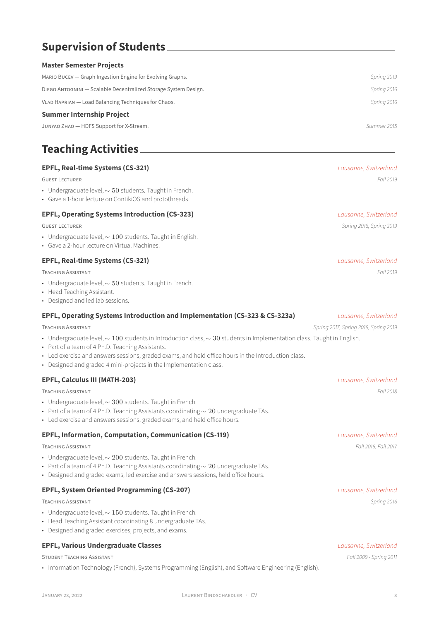# **Supervision of Students**

### **Master Semester Projects**

| MARIO BUCEV — Graph Ingestion Engine for Evolving Graphs.       | Spring 2019 |
|-----------------------------------------------------------------|-------------|
| DIEGO ANTOGNINI - Scalable Decentralized Storage System Design. | Spring 2016 |
| VLAD HAPRIAN - Load Balancing Techniques for Chaos.             | Spring 2016 |
| <b>Summer Internship Project</b>                                |             |
| JUNYAO ZHAO - HDFS Support for X-Stream.                        | Summer 2015 |

# **Teaching Activities**

### **EPFL, Real-time Systems (CS-321)** *Lausanne, Switzerland*

GUEST LECTURER *Fall 2019*

- Undergraduate level, ∼ 50 students. Taught in French.
- Gave a 1-hour lecture on ContikiOS and protothreads.

### **EPFL, Operating Systems Introduction (CS-323)** *Lausanne, Switzerland*

GUEST LECTURER *Spring 2018, Spring 2019*

- Undergraduate level, ∼ 100 students. Taught in English.
- Gave a 2-hour lecture on Virtual Machines.

### **EPFL, Real-time Systems (CS-321)** *Lausanne, Switzerland*

TEACHING ASSISTANT *Fall 2019*

- Undergraduate level, ∼ 50 students. Taught in French.
- Head Teaching Assistant.
- Designed and led lab sessions.

### **EPFL, Operating Systems Introduction and Implementation (CS-323 & CS-323a)** *Lausanne, Switzerland*

- Undergraduate level, ∼ 100 students in Introduction class, ∼ 30 students in Implementation class. Taught in English.
- Part of a team of 4 Ph.D. Teaching Assistants.
- Led exercise and answers sessions, graded exams, and held office hours in the Introduction class.
- Designed and graded 4 mini-projects in the Implementation class.

### **EPFL, Calculus III (MATH-203)** *Lausanne, Switzerland*

TEACHING ASSISTANT *Fall 2018*

- Undergraduate level, ∼ 300 students. Taught in French.
- Part of a team of 4 Ph.D. Teaching Assistants coordinating  $\sim 20$  undergraduate TAs.
- Led exercise and answers sessions, graded exams, and held office hours.

### **EPFL, Information, Computation, Communication (CS-119)** *Lausanne, Switzerland*

TEACHING ASSISTANT *Fall 2016, Fall 2017*

- Undergraduate level, ∼ 200 students. Taught in French.
- Part of a team of 4 Ph.D. Teaching Assistants coordinating  $\sim 20$  undergraduate TAs.
- Designed and graded exams, led exercise and answers sessions, held office hours.

### **EPFL, System Oriented Programming (CS-207)** *Lausanne, Switzerland*

TEACHING ASSISTANT *Spring 2016*

- Undergraduate level, ∼ 150 students. Taught in French.
- Head Teaching Assistant coordinating 8 undergraduate TAs.
- Designed and graded exercises, projects, and exams.

### **EPFL, Various Undergraduate Classes** *Lausanne, Switzerland*

STUDENT TEACHING ASSISTANT *Fall 2009 - Spring 2011*

• Information Technology (French), Systems Programming (English), and Software Engineering (English).

### TEACHING ASSISTANT *Spring 2017, Spring 2018, Spring 2019*